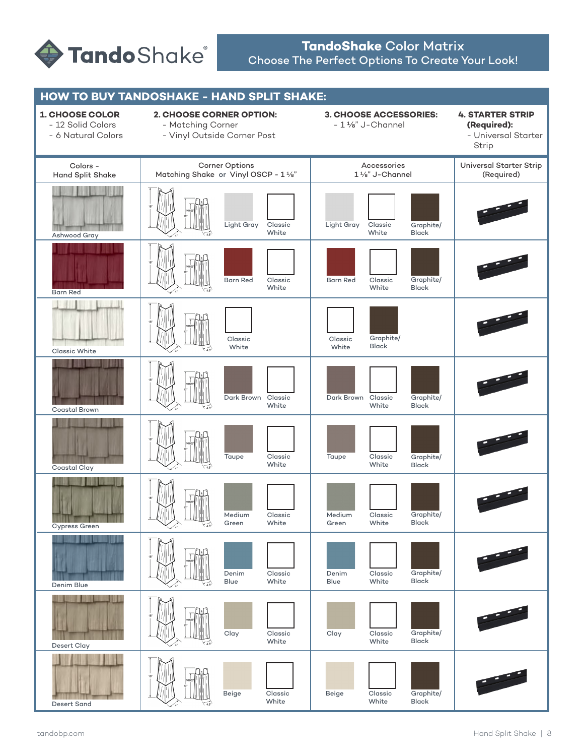

# **TandoShake** Color Matrix Choose The Perfect Options To Create Your Look!

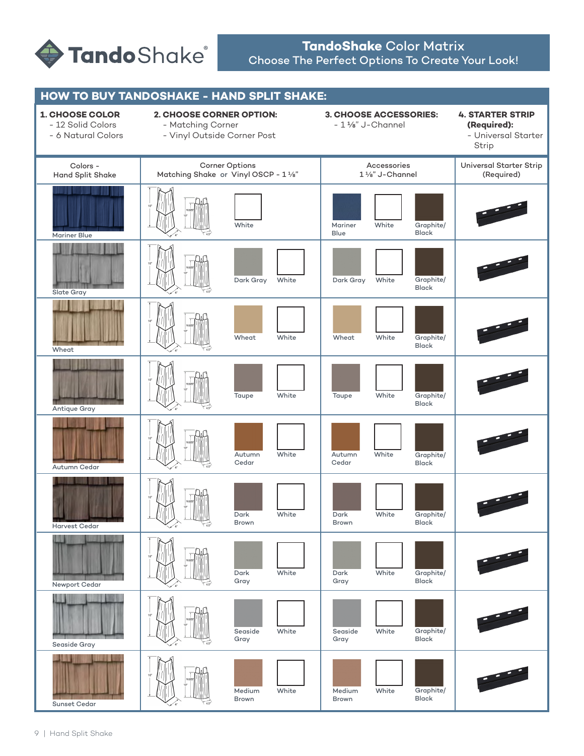

# **TandoShake** Color Matrix Choose The Perfect Options To Create Your Look!